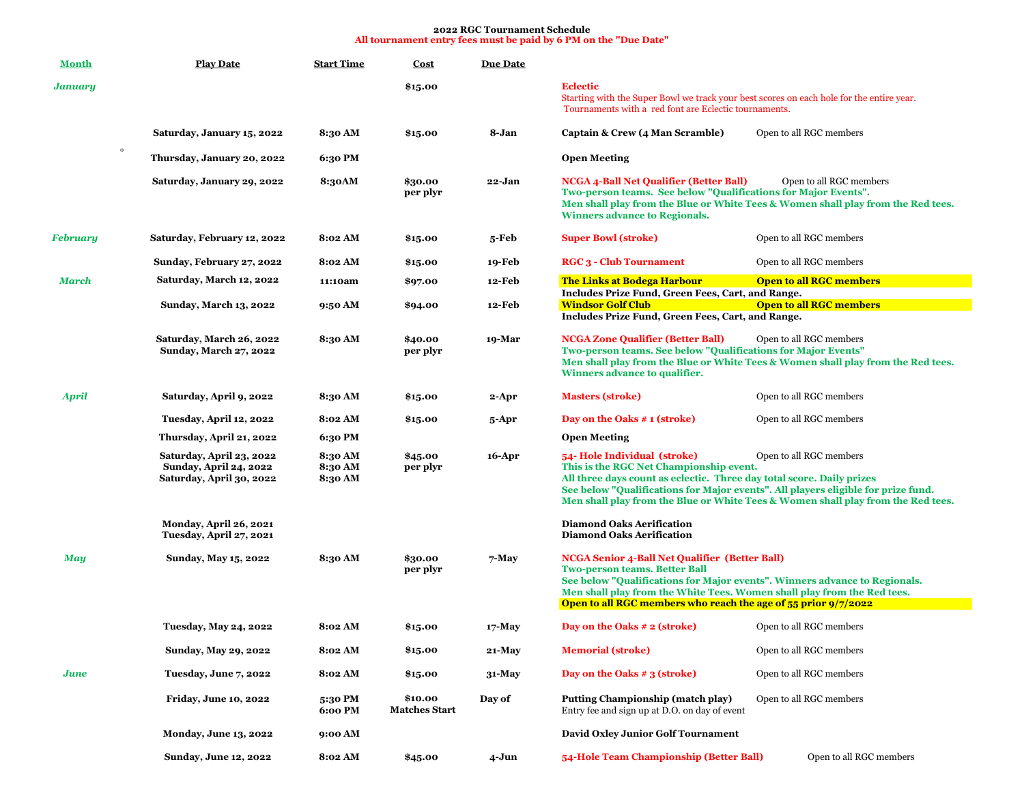## **2022 RGC Tournament Schedule All tournament entry fees must be paid by 6 PM on the "Due Date"**

| <b>Month</b>    | <b>Play Date</b>                                                                      | <b>Start Time</b>             | <b>Cost</b>                     | <b>Due Date</b> |                                                                                                                                                                                                                                                                                                                                                      |                                                                                                             |  |
|-----------------|---------------------------------------------------------------------------------------|-------------------------------|---------------------------------|-----------------|------------------------------------------------------------------------------------------------------------------------------------------------------------------------------------------------------------------------------------------------------------------------------------------------------------------------------------------------------|-------------------------------------------------------------------------------------------------------------|--|
| January         |                                                                                       |                               | \$15.00                         |                 | <b>Eclectic</b><br>Starting with the Super Bowl we track your best scores on each hole for the entire year.<br>Tournaments with a red font are Eclectic tournaments.                                                                                                                                                                                 |                                                                                                             |  |
|                 | Saturday, January 15, 2022                                                            | 8:30 AM                       | \$15.00                         | 8-Jan           | Captain & Crew (4 Man Scramble)                                                                                                                                                                                                                                                                                                                      | Open to all RGC members                                                                                     |  |
| $\circ$         | Thursday, January 20, 2022                                                            | 6:30 PM                       |                                 |                 | <b>Open Meeting</b>                                                                                                                                                                                                                                                                                                                                  |                                                                                                             |  |
|                 | Saturday, January 29, 2022                                                            | 8:30AM                        | \$30.00<br>per plyr             | 22-Jan          | <b>NCGA 4-Ball Net Qualifier (Better Ball)</b><br>Two-person teams. See below "Qualifications for Major Events".<br><b>Winners advance to Regionals.</b>                                                                                                                                                                                             | Open to all RGC members<br>Men shall play from the Blue or White Tees & Women shall play from the Red tees. |  |
| <b>February</b> | Saturday, February 12, 2022                                                           | 8:02 AM                       | \$15.00                         | 5-Feb           | <b>Super Bowl (stroke)</b>                                                                                                                                                                                                                                                                                                                           | Open to all RGC members                                                                                     |  |
|                 | Sunday, February 27, 2022                                                             | 8:02 AM                       | \$15.00                         | 19-Feb          | <b>RGC 3 - Club Tournament</b>                                                                                                                                                                                                                                                                                                                       | Open to all RGC members                                                                                     |  |
| <b>March</b>    | Saturday, March 12, 2022                                                              | 11:10am                       | \$97.00                         | <b>12-Feb</b>   | <b>The Links at Bodega Harbour</b>                                                                                                                                                                                                                                                                                                                   | <b>Open to all RGC members</b>                                                                              |  |
|                 | <b>Sunday, March 13, 2022</b>                                                         | 9:50 AM                       | \$94.00                         | <b>12-Feb</b>   | Includes Prize Fund, Green Fees, Cart, and Range.<br><b>Windsor Golf Club</b><br><b>Open to all RGC members</b><br>Includes Prize Fund, Green Fees, Cart, and Range.                                                                                                                                                                                 |                                                                                                             |  |
|                 | Saturday, March 26, 2022<br><b>Sunday, March 27, 2022</b>                             | 8:30 AM                       | \$40.00<br>per plyr             | 19-Mar          | <b>NCGA Zone Qualifier (Better Ball)</b><br>Two-person teams. See below "Qualifications for Major Events"<br>Winners advance to qualifier.                                                                                                                                                                                                           | Open to all RGC members<br>Men shall play from the Blue or White Tees & Women shall play from the Red tees. |  |
| <b>April</b>    | <b>Saturday, April 9, 2022</b>                                                        | 8:30 AM                       | \$15.00                         | 2-Apr           | <b>Masters (stroke)</b>                                                                                                                                                                                                                                                                                                                              | Open to all RGC members                                                                                     |  |
|                 | Tuesday, April 12, 2022                                                               | 8:02 AM                       | \$15.00                         | 5-Apr           | Day on the Oaks # 1 (stroke)                                                                                                                                                                                                                                                                                                                         | Open to all RGC members                                                                                     |  |
|                 | Thursday, April 21, 2022                                                              | 6:30 PM                       |                                 |                 | <b>Open Meeting</b>                                                                                                                                                                                                                                                                                                                                  |                                                                                                             |  |
|                 | Saturday, April 23, 2022<br><b>Sunday, April 24, 2022</b><br>Saturday, April 30, 2022 | 8:30 AM<br>8:30 AM<br>8:30 AM | \$45.00<br>per plyr             | 16-Apr          | 54- Hole Individual (stroke)<br>Open to all RGC members<br>This is the RGC Net Championship event.<br>All three days count as eclectic. Three day total score. Daily prizes<br>See below "Qualifications for Major events". All players eligible for prize fund.<br>Men shall play from the Blue or White Tees & Women shall play from the Red tees. |                                                                                                             |  |
|                 | Monday, April 26, 2021<br>Tuesday, April 27, 2021                                     |                               |                                 |                 | <b>Diamond Oaks Aerification</b><br><b>Diamond Oaks Aerification</b>                                                                                                                                                                                                                                                                                 |                                                                                                             |  |
| <b>May</b>      | <b>Sunday, May 15, 2022</b>                                                           | 8:30 AM                       | \$30.00<br>per plyr             | $7$ -May        | <b>NCGA Senior 4-Ball Net Qualifier (Better Ball)</b><br><b>Two-person teams. Better Ball</b><br>See below "Qualifications for Major events". Winners advance to Regionals.<br>Men shall play from the White Tees. Women shall play from the Red tees.<br>Open to all RGC members who reach the age of 55 prior 9/7/2022                             |                                                                                                             |  |
|                 | <b>Tuesday, May 24, 2022</b>                                                          | 8:02 AM                       | \$15.00                         | $17$ -May       | Day on the Oaks # 2 (stroke)                                                                                                                                                                                                                                                                                                                         | Open to all RGC members                                                                                     |  |
|                 | <b>Sunday, May 29, 2022</b>                                                           | 8:02 AM                       | \$15.00                         | $21-May$        | <b>Memorial (stroke)</b>                                                                                                                                                                                                                                                                                                                             | Open to all RGC members                                                                                     |  |
|                 |                                                                                       |                               |                                 |                 |                                                                                                                                                                                                                                                                                                                                                      |                                                                                                             |  |
| June            | <b>Tuesday, June 7, 2022</b>                                                          | 8:02 AM                       | \$15.00                         | $31-Mav$        | Day on the Oaks $\#$ 3 (stroke)                                                                                                                                                                                                                                                                                                                      | Open to all RGC members                                                                                     |  |
|                 | <b>Friday, June 10, 2022</b>                                                          | 5:30 PM<br>6:00 PM            | \$10.00<br><b>Matches Start</b> | Day of          | Putting Championship (match play)<br>Entry fee and sign up at D.O. on day of event                                                                                                                                                                                                                                                                   | Open to all RGC members                                                                                     |  |
|                 | <b>Monday, June 13, 2022</b>                                                          | 9:00 AM                       |                                 |                 | David Oxley Junior Golf Tournament                                                                                                                                                                                                                                                                                                                   |                                                                                                             |  |
|                 | <b>Sunday, June 12, 2022</b>                                                          | 8:02 AM                       | \$45.00                         | $4 - Jun$       | 54-Hole Team Championship (Better Ball)                                                                                                                                                                                                                                                                                                              | Open to all RGC members                                                                                     |  |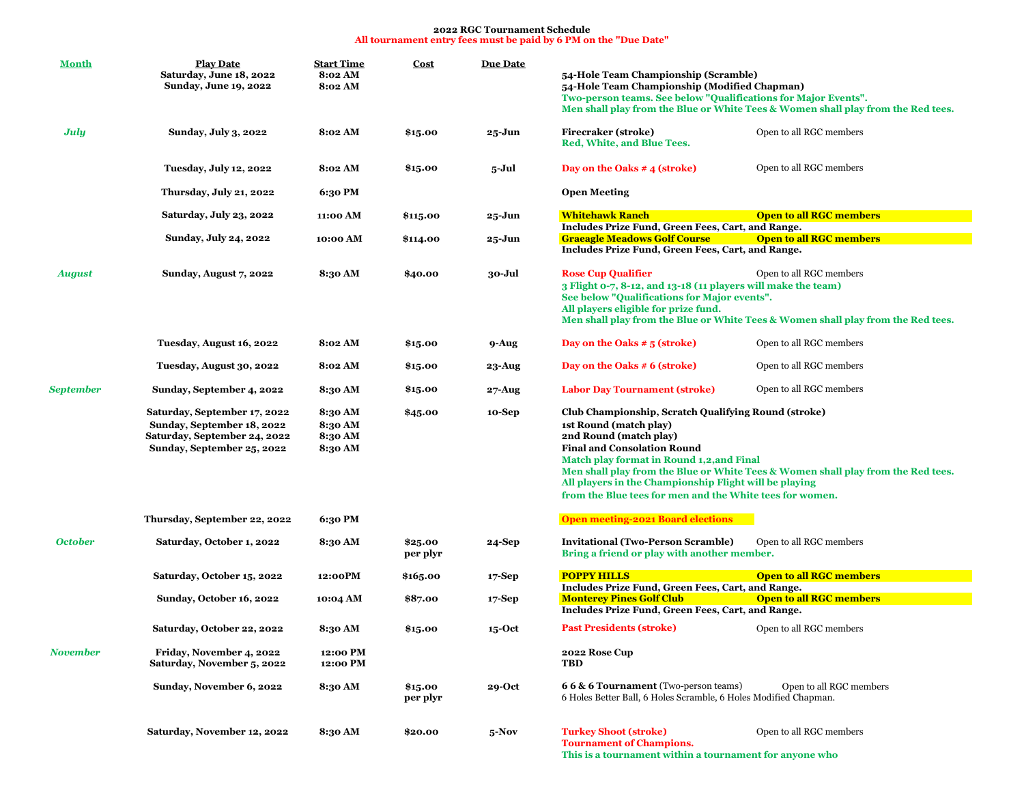## **2022 RGC Tournament Schedule All tournament entry fees must be paid by 6 PM on the "Due Date"**

| <b>Month</b>     | <b>Play Date</b><br>Saturday, June 18, 2022<br>Sunday, June 19, 2022                                                     | <b>Start Time</b><br>8:02 AM<br>8:02 AM  | <b>Cost</b>         | <b>Due Date</b> | 54-Hole Team Championship (Scramble)<br>54-Hole Team Championship (Modified Chapman)<br>Two-person teams. See below "Qualifications for Major Events".<br>Men shall play from the Blue or White Tees & Women shall play from the Red tees.                                                                                                                                                            |  |
|------------------|--------------------------------------------------------------------------------------------------------------------------|------------------------------------------|---------------------|-----------------|-------------------------------------------------------------------------------------------------------------------------------------------------------------------------------------------------------------------------------------------------------------------------------------------------------------------------------------------------------------------------------------------------------|--|
| July             | <b>Sunday, July 3, 2022</b>                                                                                              | 8:02 AM                                  | \$15.00             | 25-Jun          | Firecraker (stroke)<br>Open to all RGC members<br>Red, White, and Blue Tees.                                                                                                                                                                                                                                                                                                                          |  |
|                  | <b>Tuesday, July 12, 2022</b>                                                                                            | 8:02 AM                                  | \$15.00             | 5-Jul           | Open to all RGC members<br>Day on the Oaks # 4 (stroke)                                                                                                                                                                                                                                                                                                                                               |  |
|                  | <b>Thursday, July 21, 2022</b>                                                                                           | 6:30 PM                                  |                     |                 | <b>Open Meeting</b>                                                                                                                                                                                                                                                                                                                                                                                   |  |
|                  | Saturday, July 23, 2022                                                                                                  | 11:00 AM                                 | \$115.00            | 25-Jun          | <b>Open to all RGC members</b><br><b>Whitehawk Ranch</b><br>Includes Prize Fund, Green Fees, Cart, and Range.                                                                                                                                                                                                                                                                                         |  |
|                  | Sunday, July 24, 2022                                                                                                    | 10:00 AM                                 | \$114.00            | 25-Jun          | <b>Graeagle Meadows Golf Course</b><br><b>Open to all RGC members</b><br>Includes Prize Fund, Green Fees, Cart, and Range.                                                                                                                                                                                                                                                                            |  |
| <b>August</b>    | Sunday, August 7, 2022                                                                                                   | 8:30 AM                                  | \$40.00             | 30-Jul          | <b>Rose Cup Qualifier</b><br>Open to all RGC members<br>3 Flight 0-7, 8-12, and 13-18 (11 players will make the team)<br>See below "Qualifications for Major events".<br>All players eligible for prize fund.<br>Men shall play from the Blue or White Tees & Women shall play from the Red tees.                                                                                                     |  |
|                  | Tuesday, August 16, 2022                                                                                                 | 8:02 AM                                  | \$15.00             | 9-Aug           | Day on the Oaks $#5$ (stroke)<br>Open to all RGC members                                                                                                                                                                                                                                                                                                                                              |  |
|                  | Tuesday, August 30, 2022                                                                                                 | 8:02 AM                                  | \$15.00             | 23-Aug          | Day on the Oaks # 6 (stroke)<br>Open to all RGC members                                                                                                                                                                                                                                                                                                                                               |  |
| <b>September</b> | Sunday, September 4, 2022                                                                                                | 8:30 AM                                  | \$15.00             | 27-Aug          | Open to all RGC members<br><b>Labor Day Tournament (stroke)</b>                                                                                                                                                                                                                                                                                                                                       |  |
|                  | Saturday, September 17, 2022<br>Sunday, September 18, 2022<br>Saturday, September 24, 2022<br>Sunday, September 25, 2022 | 8:30 AM<br>8:30 AM<br>8:30 AM<br>8:30 AM | \$45.00             | 10-Sep          | Club Championship, Scratch Qualifying Round (stroke)<br>1st Round (match play)<br>2nd Round (match play)<br><b>Final and Consolation Round</b><br>Match play format in Round 1,2, and Final<br>Men shall play from the Blue or White Tees & Women shall play from the Red tees.<br>All players in the Championship Flight will be playing<br>from the Blue tees for men and the White tees for women. |  |
|                  | Thursday, September 22, 2022                                                                                             | 6:30 PM                                  |                     |                 | <b>Open meeting-2021 Board elections</b>                                                                                                                                                                                                                                                                                                                                                              |  |
| <b>October</b>   | Saturday, October 1, 2022                                                                                                | 8:30 AM                                  | \$25.00<br>per plyr | 24-Sep          | Open to all RGC members<br><b>Invitational (Two-Person Scramble)</b><br>Bring a friend or play with another member.                                                                                                                                                                                                                                                                                   |  |
|                  | Saturday, October 15, 2022                                                                                               | 12:00PM                                  | \$165.00            | $17-Sep$        | <b>POPPY HILLS</b><br><b>Open to all RGC members</b><br>Includes Prize Fund, Green Fees, Cart, and Range.                                                                                                                                                                                                                                                                                             |  |
|                  | Sunday, October 16, 2022                                                                                                 | 10:04 AM                                 | \$87.00             | $17-Sep$        | <b>Open to all RGC members</b><br><b>Monterey Pines Golf Club</b><br>Includes Prize Fund, Green Fees, Cart, and Range.                                                                                                                                                                                                                                                                                |  |
|                  | Saturday, October 22, 2022                                                                                               | 8:30 AM                                  | \$15.00             | $15$ -Oct       | <b>Past Presidents (stroke)</b><br>Open to all RGC members                                                                                                                                                                                                                                                                                                                                            |  |
| November         | Friday, November 4, 2022<br>Saturday, November 5, 2022                                                                   | 12:00 PM<br>12:00 PM                     |                     |                 | 2022 Rose Cup<br><b>TBD</b>                                                                                                                                                                                                                                                                                                                                                                           |  |
|                  | Sunday, November 6, 2022                                                                                                 | 8:30 AM                                  | \$15.00<br>per plyr | 29-Oct          | 66 & 6 Tournament (Two-person teams)<br>Open to all RGC members<br>6 Holes Better Ball, 6 Holes Scramble, 6 Holes Modified Chapman.                                                                                                                                                                                                                                                                   |  |
|                  | Saturday, November 12, 2022                                                                                              | 8:30 AM                                  | \$20.00             | $5-Nov$         | <b>Turkey Shoot (stroke)</b><br>Open to all RGC members<br><b>Tournament of Champions.</b><br>This is a tournament within a tournament for anyone who                                                                                                                                                                                                                                                 |  |